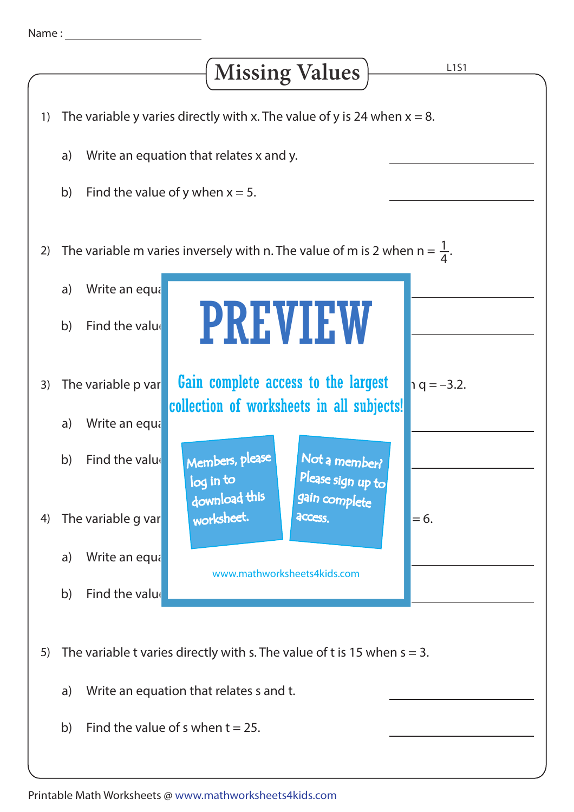